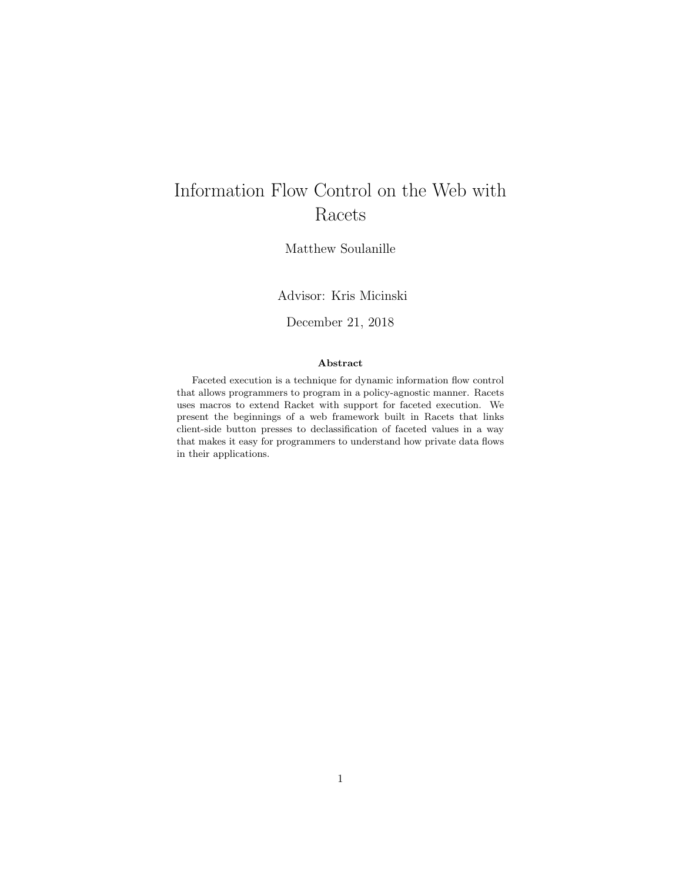# Information Flow Control on the Web with Racets

Matthew Soulanille

Advisor: Kris Micinski

December 21, 2018

### Abstract

Faceted execution is a technique for dynamic information flow control that allows programmers to program in a policy-agnostic manner. Racets uses macros to extend Racket with support for faceted execution. We present the beginnings of a web framework built in Racets that links client-side button presses to declassification of faceted values in a way that makes it easy for programmers to understand how private data flows in their applications.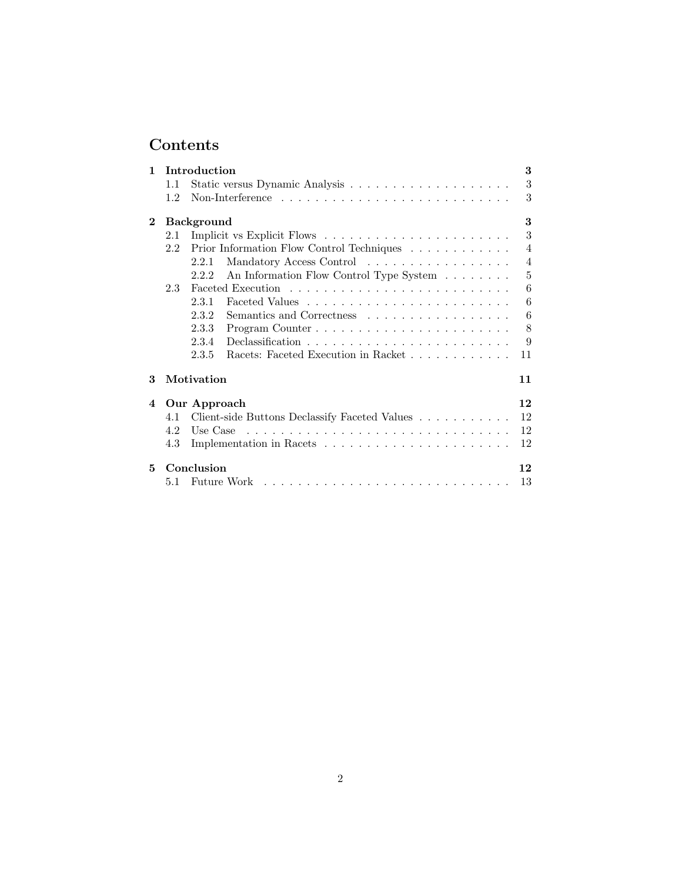# Contents

| 1                      |     | 3<br>Introduction                                                                         |
|------------------------|-----|-------------------------------------------------------------------------------------------|
|                        | 1.1 | 3                                                                                         |
|                        | 1.2 | 3                                                                                         |
| $\mathbf 2$            |     | 3<br><b>Background</b>                                                                    |
|                        | 2.1 | 3                                                                                         |
|                        | 2.2 | Prior Information Flow Control Techniques $\ldots \ldots \ldots \ldots$<br>$\overline{4}$ |
|                        |     | $\overline{4}$<br>Mandatory Access Control<br>2.2.1                                       |
|                        |     | 5<br>An Information Flow Control Type System<br>2.2.2                                     |
|                        | 2.3 | 6                                                                                         |
|                        |     | 6<br>2.3.1                                                                                |
|                        |     | 6<br>2.3.2<br>Semantics and Correctness                                                   |
|                        |     | 8<br>2.3.3                                                                                |
|                        |     | 2.3.4<br>9                                                                                |
|                        |     | Racets: Faceted Execution in Racket<br>2.3.5<br>11                                        |
| 3                      |     | Motivation<br>11                                                                          |
| $\boldsymbol{\Lambda}$ |     | 12<br>Our Approach                                                                        |
|                        | 4.1 | 12<br>Client-side Buttons Declassify Faceted Values                                       |
|                        | 4.2 | 12<br>Use Case                                                                            |
|                        | 4.3 | 12                                                                                        |
| 5.                     |     | Conclusion<br>12                                                                          |
|                        | 5.1 | 13<br>Future Work                                                                         |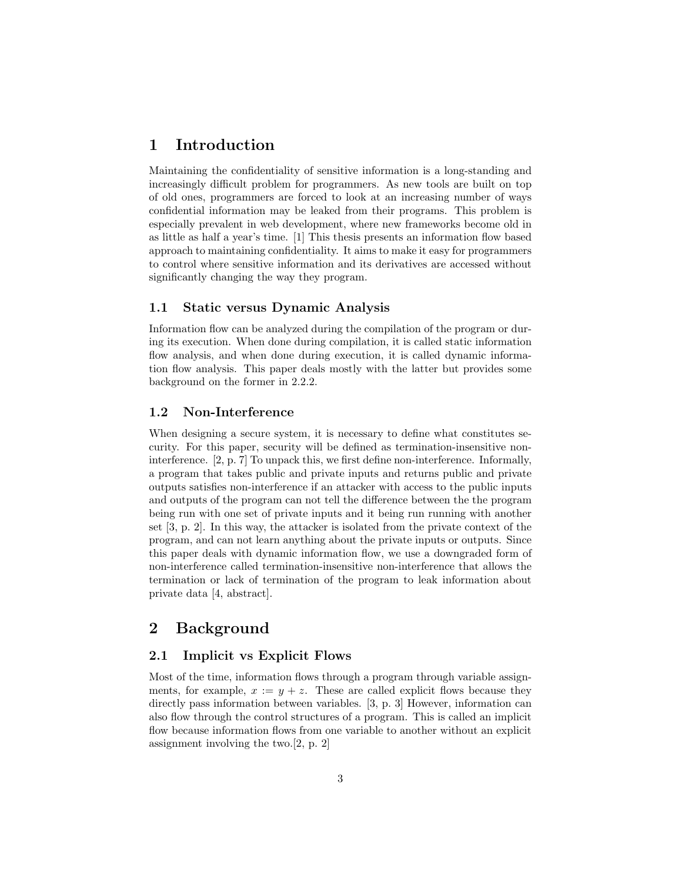# <span id="page-2-0"></span>1 Introduction

Maintaining the confidentiality of sensitive information is a long-standing and increasingly difficult problem for programmers. As new tools are built on top of old ones, programmers are forced to look at an increasing number of ways confidential information may be leaked from their programs. This problem is especially prevalent in web development, where new frameworks become old in as little as half a year's time. [\[1\]](#page-13-0) This thesis presents an information flow based approach to maintaining confidentiality. It aims to make it easy for programmers to control where sensitive information and its derivatives are accessed without significantly changing the way they program.

### <span id="page-2-1"></span>1.1 Static versus Dynamic Analysis

Information flow can be analyzed during the compilation of the program or during its execution. When done during compilation, it is called static information flow analysis, and when done during execution, it is called dynamic information flow analysis. This paper deals mostly with the latter but provides some background on the former in [2.2.2.](#page-4-0)

## <span id="page-2-2"></span>1.2 Non-Interference

When designing a secure system, it is necessary to define what constitutes security. For this paper, security will be defined as termination-insensitive noninterference. [\[2,](#page-13-1) p. 7] To unpack this, we first define non-interference. Informally, a program that takes public and private inputs and returns public and private outputs satisfies non-interference if an attacker with access to the public inputs and outputs of the program can not tell the difference between the the program being run with one set of private inputs and it being run running with another set [\[3,](#page-13-2) p. 2]. In this way, the attacker is isolated from the private context of the program, and can not learn anything about the private inputs or outputs. Since this paper deals with dynamic information flow, we use a downgraded form of non-interference called termination-insensitive non-interference that allows the termination or lack of termination of the program to leak information about private data [\[4,](#page-13-3) abstract].

# <span id="page-2-3"></span>2 Background

## <span id="page-2-4"></span>2.1 Implicit vs Explicit Flows

Most of the time, information flows through a program through variable assignments, for example,  $x := y + z$ . These are called explicit flows because they directly pass information between variables. [\[3,](#page-13-2) p. 3] However, information can also flow through the control structures of a program. This is called an implicit flow because information flows from one variable to another without an explicit assignment involving the two.[\[2,](#page-13-1) p. 2]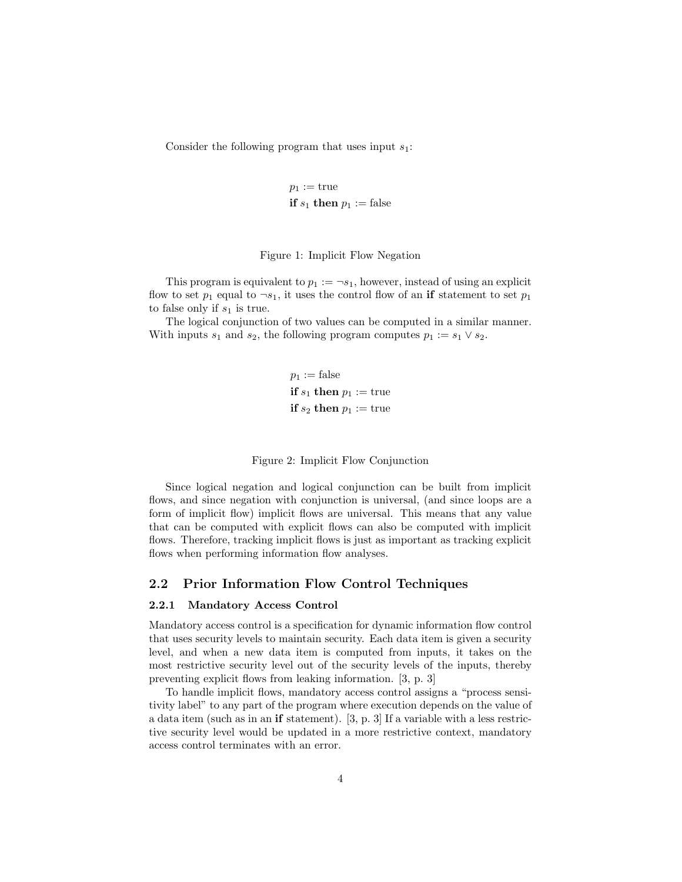Consider the following program that uses input  $s_1$ :

$$
p_1 := \text{true}
$$
  
if  $s_1$  then  $p_1 := \text{false}$ 

#### <span id="page-3-2"></span>Figure 1: Implicit Flow Negation

This program is equivalent to  $p_1 := \neg s_1$ , however, instead of using an explicit flow to set  $p_1$  equal to  $\neg s_1$ , it uses the control flow of an if statement to set  $p_1$ to false only if  $s_1$  is true.

The logical conjunction of two values can be computed in a similar manner. With inputs  $s_1$  and  $s_2$ , the following program computes  $p_1 := s_1 \vee s_2$ .

> $p_1 := \text{false}$ if  $s_1$  then  $p_1 :=$  true if  $s_2$  then  $p_1 := \text{true}$

Figure 2: Implicit Flow Conjunction

Since logical negation and logical conjunction can be built from implicit flows, and since negation with conjunction is universal, (and since loops are a form of implicit flow) implicit flows are universal. This means that any value that can be computed with explicit flows can also be computed with implicit flows. Therefore, tracking implicit flows is just as important as tracking explicit flows when performing information flow analyses.

### <span id="page-3-0"></span>2.2 Prior Information Flow Control Techniques

#### <span id="page-3-1"></span>2.2.1 Mandatory Access Control

Mandatory access control is a specification for dynamic information flow control that uses security levels to maintain security. Each data item is given a security level, and when a new data item is computed from inputs, it takes on the most restrictive security level out of the security levels of the inputs, thereby preventing explicit flows from leaking information. [\[3,](#page-13-2) p. 3]

To handle implicit flows, mandatory access control assigns a "process sensitivity label" to any part of the program where execution depends on the value of a data item (such as in an if statement). [\[3,](#page-13-2) p. 3] If a variable with a less restrictive security level would be updated in a more restrictive context, mandatory access control terminates with an error.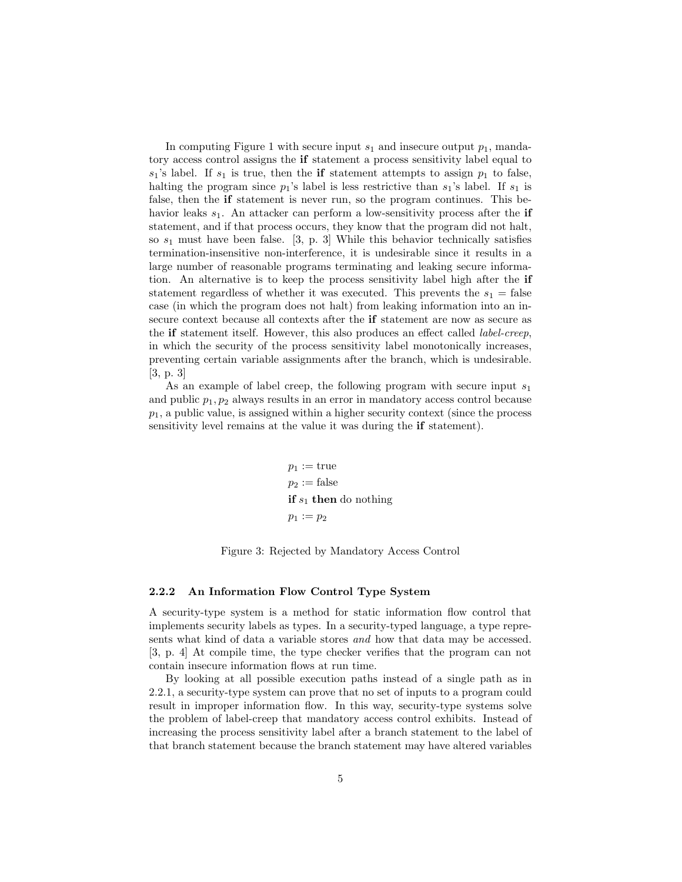In computing Figure [1](#page-3-2) with secure input  $s_1$  and insecure output  $p_1$ , mandatory access control assigns the if statement a process sensitivity label equal to  $s_1$ 's label. If  $s_1$  is true, then the if statement attempts to assign  $p_1$  to false, halting the program since  $p_1$ 's label is less restrictive than  $s_1$ 's label. If  $s_1$  is false, then the if statement is never run, so the program continues. This behavior leaks  $s_1$ . An attacker can perform a low-sensitivity process after the if statement, and if that process occurs, they know that the program did not halt, so  $s_1$  must have been false. [\[3,](#page-13-2) p. 3] While this behavior technically satisfies termination-insensitive non-interference, it is undesirable since it results in a large number of reasonable programs terminating and leaking secure information. An alternative is to keep the process sensitivity label high after the if statement regardless of whether it was executed. This prevents the  $s_1$  = false case (in which the program does not halt) from leaking information into an insecure context because all contexts after the if statement are now as secure as the if statement itself. However, this also produces an effect called label-creep, in which the security of the process sensitivity label monotonically increases, preventing certain variable assignments after the branch, which is undesirable. [\[3,](#page-13-2) p. 3]

As an example of label creep, the following program with secure input  $s_1$ and public  $p_1, p_2$  always results in an error in mandatory access control because  $p_1$ , a public value, is assigned within a higher security context (since the process sensitivity level remains at the value it was during the if statement).

> $p_1 := \text{true}$  $p_2 := \text{false}$ if  $s_1$  then do nothing  $p_1 := p_2$

<span id="page-4-1"></span>Figure 3: Rejected by Mandatory Access Control

#### <span id="page-4-0"></span>2.2.2 An Information Flow Control Type System

A security-type system is a method for static information flow control that implements security labels as types. In a security-typed language, a type represents what kind of data a variable stores and how that data may be accessed. [\[3,](#page-13-2) p. 4] At compile time, the type checker verifies that the program can not contain insecure information flows at run time.

By looking at all possible execution paths instead of a single path as in [2.2.1,](#page-3-1) a security-type system can prove that no set of inputs to a program could result in improper information flow. In this way, security-type systems solve the problem of label-creep that mandatory access control exhibits. Instead of increasing the process sensitivity label after a branch statement to the label of that branch statement because the branch statement may have altered variables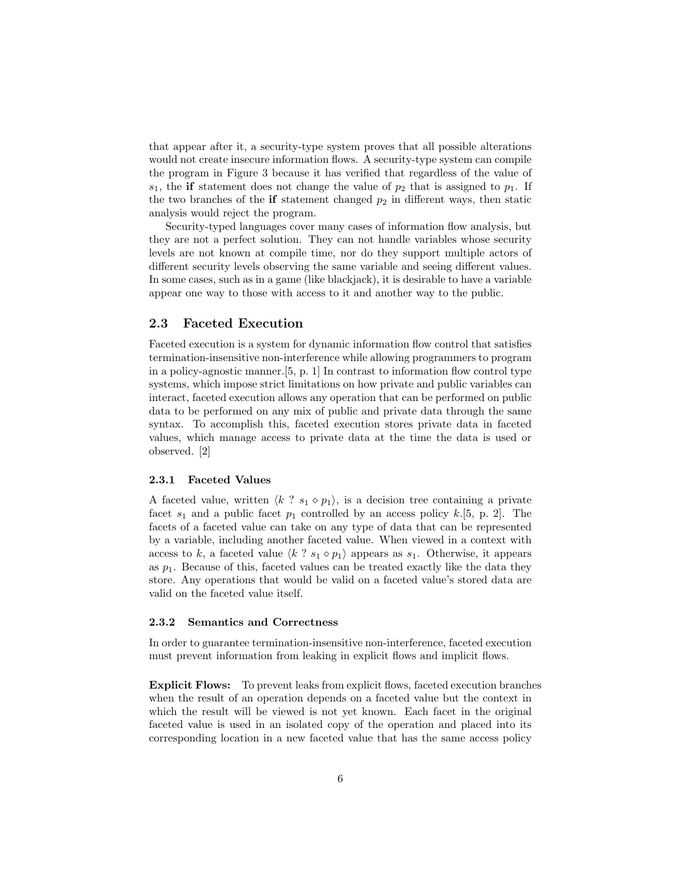that appear after it, a security-type system proves that all possible alterations would not create insecure information flows. A security-type system can compile the program in Figure [3](#page-4-1) because it has verified that regardless of the value of  $s_1$ , the if statement does not change the value of  $p_2$  that is assigned to  $p_1$ . If the two branches of the if statement changed  $p_2$  in different ways, then static analysis would reject the program.

Security-typed languages cover many cases of information flow analysis, but they are not a perfect solution. They can not handle variables whose security levels are not known at compile time, nor do they support multiple actors of different security levels observing the same variable and seeing different values. In some cases, such as in a game (like blackjack), it is desirable to have a variable appear one way to those with access to it and another way to the public.

### <span id="page-5-0"></span>2.3 Faceted Execution

Faceted execution is a system for dynamic information flow control that satisfies termination-insensitive non-interference while allowing programmers to program in a policy-agnostic manner.[\[5,](#page-13-4) p. 1] In contrast to information flow control type systems, which impose strict limitations on how private and public variables can interact, faceted execution allows any operation that can be performed on public data to be performed on any mix of public and private data through the same syntax. To accomplish this, faceted execution stores private data in faceted values, which manage access to private data at the time the data is used or observed. [\[2\]](#page-13-1)

#### <span id="page-5-1"></span>2.3.1 Faceted Values

A faceted value, written  $\langle k \rangle$  ?  $s_1 \diamond p_1$ , is a decision tree containing a private facet  $s_1$  and a public facet  $p_1$  controlled by an access policy k.[\[5,](#page-13-4) p. 2]. The facets of a faceted value can take on any type of data that can be represented by a variable, including another faceted value. When viewed in a context with access to k, a faceted value  $\langle k \rangle$  ?  $s_1 \diamond p_1$  appears as  $s_1$ . Otherwise, it appears as  $p_1$ . Because of this, faceted values can be treated exactly like the data they store. Any operations that would be valid on a faceted value's stored data are valid on the faceted value itself.

#### <span id="page-5-2"></span>2.3.2 Semantics and Correctness

In order to guarantee termination-insensitive non-interference, faceted execution must prevent information from leaking in explicit flows and implicit flows.

Explicit Flows: To prevent leaks from explicit flows, faceted execution branches when the result of an operation depends on a faceted value but the context in which the result will be viewed is not yet known. Each facet in the original faceted value is used in an isolated copy of the operation and placed into its corresponding location in a new faceted value that has the same access policy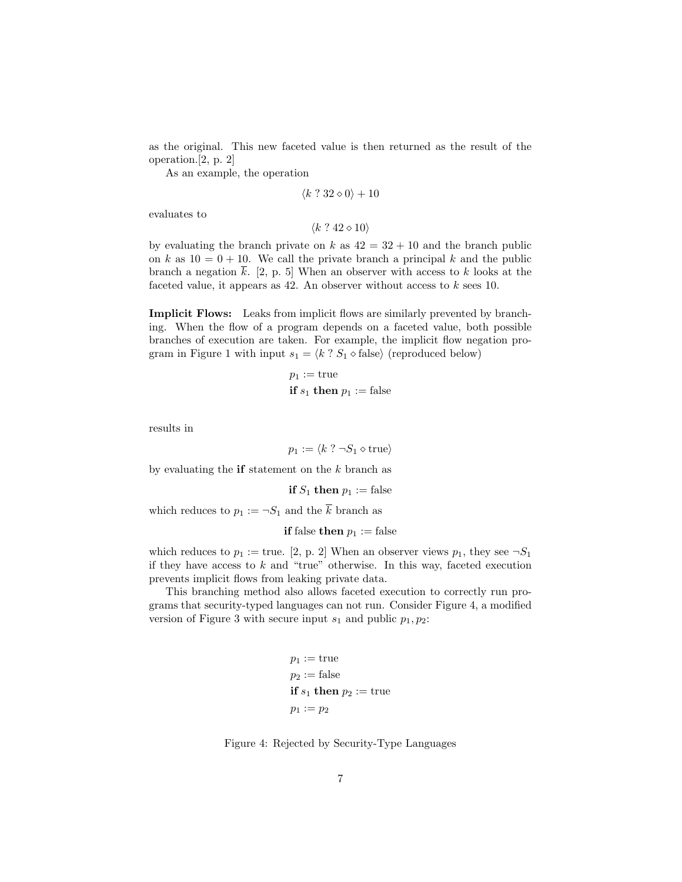as the original. This new faceted value is then returned as the result of the operation.[\[2,](#page-13-1) p. 2]

As an example, the operation

$$
\langle k\ ?\ 32\diamond 0\rangle + 10
$$

evaluates to

 $\langle k \rangle$  ?  $42 \diamond 10 \rangle$ 

by evaluating the branch private on k as  $42 = 32 + 10$  and the branch public on k as  $10 = 0 + 10$ . We call the private branch a principal k and the public branch a negation  $\bar{k}$ . [\[2,](#page-13-1) p. 5] When an observer with access to k looks at the faceted value, it appears as  $42$ . An observer without access to k sees 10.

Implicit Flows: Leaks from implicit flows are similarly prevented by branching. When the flow of a program depends on a faceted value, both possible branches of execution are taken. For example, the implicit flow negation pro-gram in Figure [1](#page-3-2) with input  $s_1 = \langle k \rangle$  ?  $S_1 \diamond$  false) (reproduced below)

$$
p_1 := \text{true}
$$
  
if  $s_1$  then  $p_1 := \text{false}$ 

results in

 $p_1 := \langle k \rangle$   $\neg S_1 \diamond$  true)

by evaluating the **if** statement on the  $k$  branch as

if  $S_1$  then  $p_1 :=$  false

which reduces to  $p_1 := \neg S_1$  and the  $\overline{k}$  branch as

**if** false **then**  $p_1 :=$  false

which reduces to  $p_1 := \text{true}$ . [\[2,](#page-13-1) p. 2] When an observer views  $p_1$ , they see  $\neg S_1$ if they have access to  $k$  and "true" otherwise. In this way, faceted execution prevents implicit flows from leaking private data.

This branching method also allows faceted execution to correctly run programs that security-typed languages can not run. Consider Figure [4,](#page-6-0) a modified version of Figure [3](#page-4-1) with secure input  $s_1$  and public  $p_1, p_2$ :

$$
p_1 := \text{true}
$$
  

$$
p_2 := \text{false}
$$
  
**if** 
$$
s_1
$$
 **then** 
$$
p_2 := \text{true}
$$
  

$$
p_1 := p_2
$$

<span id="page-6-0"></span>Figure 4: Rejected by Security-Type Languages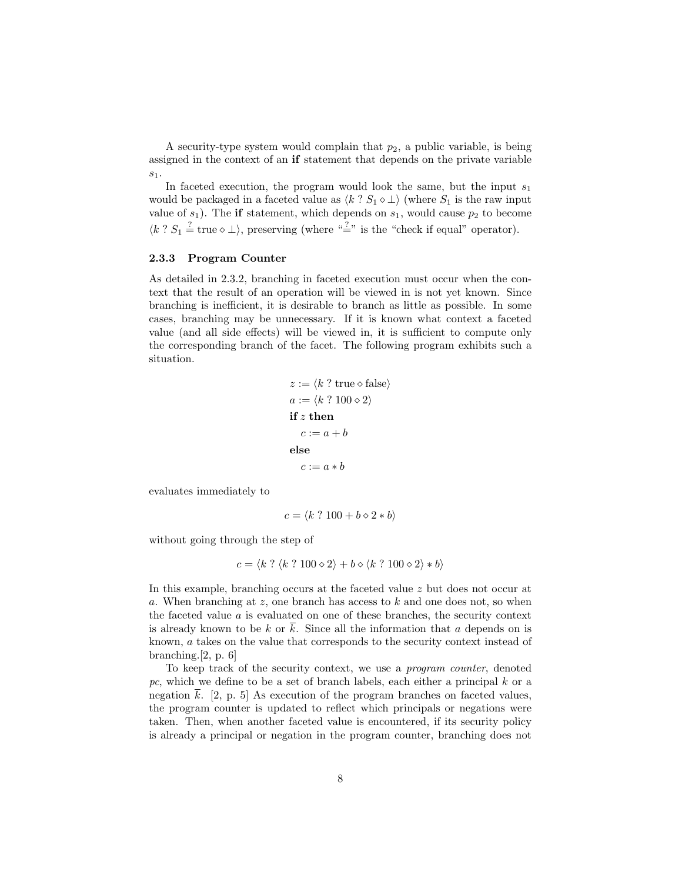A security-type system would complain that  $p_2$ , a public variable, is being assigned in the context of an if statement that depends on the private variable  $s_1$ .

In faceted execution, the program would look the same, but the input  $s_1$ would be packaged in a faceted value as  $\langle k \rangle S_1 \circ \bot \rangle$  (where  $S_1$  is the raw input value of  $s_1$ ). The if statement, which depends on  $s_1$ , would cause  $p_2$  to become  $\langle k ? S_1 \stackrel{?}{=} \text{true} \diamond \bot \rangle$ , preserving (where " $\stackrel{?}{=}$ " is the "check if equal" operator).

#### <span id="page-7-0"></span>2.3.3 Program Counter

As detailed in [2.3.2,](#page-5-2) branching in faceted execution must occur when the context that the result of an operation will be viewed in is not yet known. Since branching is inefficient, it is desirable to branch as little as possible. In some cases, branching may be unnecessary. If it is known what context a faceted value (and all side effects) will be viewed in, it is sufficient to compute only the corresponding branch of the facet. The following program exhibits such a situation.

> $z := \langle k \rangle$ ? true  $\Diamond$  false  $a := \langle k \rangle$  ?  $100 \diamond 2 \rangle$ if z then  $c := a + b$ else  $c := a * b$

evaluates immediately to

$$
c = \langle k ? 100 + b \diamond 2 * b \rangle
$$

without going through the step of

$$
c = \langle k ? \langle k ? 100 \diamond 2 \rangle + b \diamond \langle k ? 100 \diamond 2 \rangle * b \rangle
$$

In this example, branching occurs at the faceted value z but does not occur at a. When branching at z, one branch has access to k and one does not, so when the faceted value  $a$  is evaluated on one of these branches, the security context is already known to be k or k. Since all the information that a depends on is known, a takes on the value that corresponds to the security context instead of branching.[\[2,](#page-13-1) p. 6]

To keep track of the security context, we use a program counter, denoted pc, which we define to be a set of branch labels, each either a principal  $k$  or a negation k. [\[2,](#page-13-1) p. 5] As execution of the program branches on faceted values, the program counter is updated to reflect which principals or negations were taken. Then, when another faceted value is encountered, if its security policy is already a principal or negation in the program counter, branching does not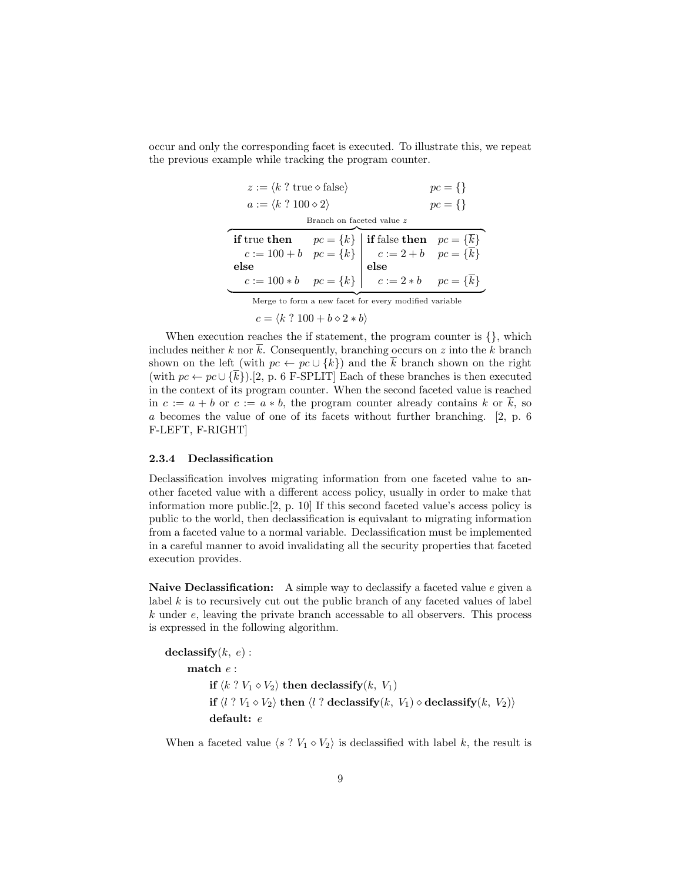occur and only the corresponding facet is executed. To illustrate this, we repeat the previous example while tracking the program counter.

| $z := \langle k \rangle$ ? true $\Diamond$ false $\rangle$                                                                                  |  | $pc = \{\}$                                                      |             |  |
|---------------------------------------------------------------------------------------------------------------------------------------------|--|------------------------------------------------------------------|-------------|--|
| $a := \langle k \rangle 100 \diamond 2 \rangle$                                                                                             |  |                                                                  | $pc = \{\}$ |  |
| Branch on faceted value z                                                                                                                   |  |                                                                  |             |  |
| if true then $pc = \{k\}$ if false then $pc = \{\overline{k}\}$<br>$c := 100 + b$ $pc = \{k\}$ $c := 2 + b$ $pc = \{\overline{k}\}$<br>else |  |                                                                  |             |  |
|                                                                                                                                             |  |                                                                  |             |  |
|                                                                                                                                             |  |                                                                  |             |  |
|                                                                                                                                             |  | $c := 100 * b$ $pc = \{k\}$ $c := 2 * b$ $pc = \{\overline{k}\}$ |             |  |
|                                                                                                                                             |  |                                                                  |             |  |

Merge to form a new facet for every modified variable

 $c = \langle k \rangle$  ?  $100 + b \diamond 2 * b \rangle$ 

When execution reaches the if statement, the program counter is  $\{\}$ , which includes neither k nor  $\bar{k}$ . Consequently, branching occurs on z into the k branch shown on the left (with  $pc \leftarrow pc \cup \{k\}$ ) and the  $\overline{k}$  branch shown on the right (with  $pc \leftarrow pc \cup \{\overline{k}\}\$ .[\[2,](#page-13-1) p. 6 F-SPLIT] Each of these branches is then executed in the context of its program counter. When the second faceted value is reached in  $c := a + b$  or  $c := a * b$ , the program counter already contains k or  $\overline{k}$ , so a becomes the value of one of its facets without further branching. [\[2,](#page-13-1) p. 6 F-LEFT, F-RIGHT]

#### <span id="page-8-0"></span>2.3.4 Declassification

Declassification involves migrating information from one faceted value to another faceted value with a different access policy, usually in order to make that information more public.[\[2,](#page-13-1) p. 10] If this second faceted value's access policy is public to the world, then declassification is equivalant to migrating information from a faceted value to a normal variable. Declassification must be implemented in a careful manner to avoid invalidating all the security properties that faceted execution provides.

Naive Declassification: A simple way to declassify a faceted value  $e$  given a label  $k$  is to recursively cut out the public branch of any faceted values of label k under e, leaving the private branch accessable to all observers. This process is expressed in the following algorithm.

declassify $(k, e)$ : match  $e$ : if  $\langle k \rangle$   $V_1 \diamond V_2 \rangle$  then declassify $(k, V_1)$ if  $\langle l \, ? \, V_1 \diamond V_2 \rangle$  then  $\langle l \, ? \, \text{declassify}(k, V_1) \diamond \text{declassify}(k, V_2) \rangle$ default: e

When a faceted value  $\langle s : V_1 \diamond V_2 \rangle$  is declassified with label k, the result is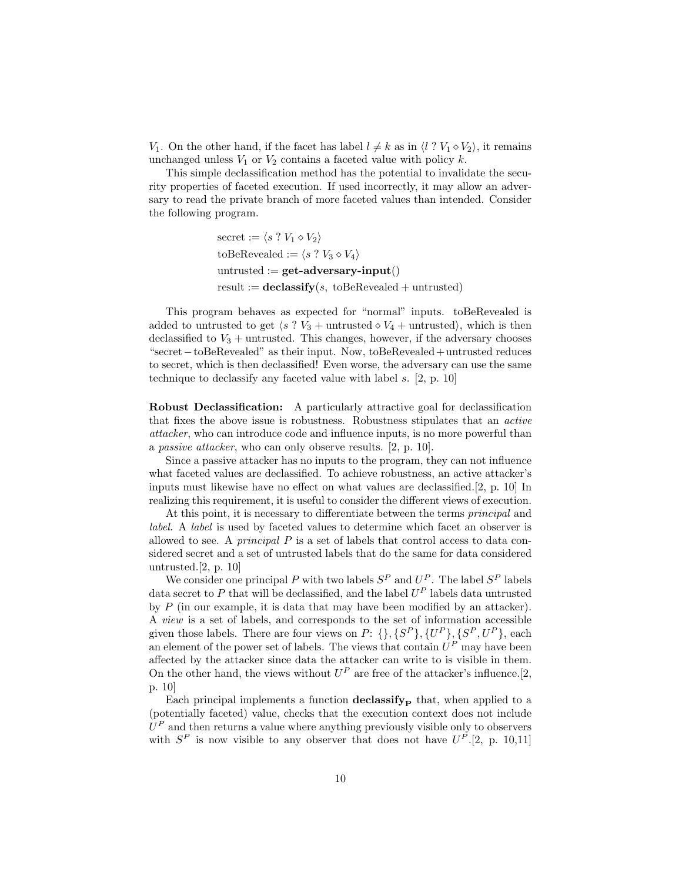$V_1$ . On the other hand, if the facet has label  $l \neq k$  as in  $\langle l \, ? \, V_1 \diamond V_2 \rangle$ , it remains unchanged unless  $V_1$  or  $V_2$  contains a faceted value with policy  $k$ .

This simple declassification method has the potential to invalidate the security properties of faceted execution. If used incorrectly, it may allow an adversary to read the private branch of more faceted values than intended. Consider the following program.

> secret :=  $\langle s \rangle : V_1 \diamond V_2 \rangle$ toBeRevealed :=  $\langle s \rangle : V_3 \diamond V_4 \rangle$ untrusted  $:=$  **get-adversary-input**() result :=  $\mathbf{declassify}(s, \mathbf{toBeRevealed} + \mathbf{untrusted})$

This program behaves as expected for "normal" inputs. toBeRevealed is added to untrusted to get  $\langle s \rangle$   $V_3$  + untrusted  $\langle V_4$  + untrusted), which is then declassified to  $V_3$  + untrusted. This changes, however, if the adversary chooses "secret−toBeRevealed" as their input. Now, toBeRevealed+ untrusted reduces to secret, which is then declassified! Even worse, the adversary can use the same technique to declassify any faceted value with label s. [\[2,](#page-13-1) p. 10]

Robust Declassification: A particularly attractive goal for declassification that fixes the above issue is robustness. Robustness stipulates that an active attacker, who can introduce code and influence inputs, is no more powerful than a passive attacker, who can only observe results. [\[2,](#page-13-1) p. 10].

Since a passive attacker has no inputs to the program, they can not influence what faceted values are declassified. To achieve robustness, an active attacker's inputs must likewise have no effect on what values are declassified.[\[2,](#page-13-1) p. 10] In realizing this requirement, it is useful to consider the different views of execution.

At this point, it is necessary to differentiate between the terms principal and label. A label is used by faceted values to determine which facet an observer is allowed to see. A *principal P* is a set of labels that control access to data considered secret and a set of untrusted labels that do the same for data considered untrusted.[\[2,](#page-13-1) p. 10]

We consider one principal P with two labels  $S^P$  and  $U^P$ . The label  $S^P$  labels data secret to P that will be declassified, and the label  $U^P$  labels data untrusted by  $P$  (in our example, it is data that may have been modified by an attacker). A view is a set of labels, and corresponds to the set of information accessible given those labels. There are four views on  $P: \{\}, \{S^P\}, \{U^P\}, \{S^P, U^P\}, \text{each}$ an element of the power set of labels. The views that contain  $U^P$  may have been affected by the attacker since data the attacker can write to is visible in them. On the other hand, the views without  $U^P$  are free of the attacker's influence.[\[2,](#page-13-1) p. 10]

Each principal implements a function  $\frac{declassify}{P}$  that, when applied to a (potentially faceted) value, checks that the execution context does not include  $U^P$  and then returns a value where anything previously visible only to observers with  $S^P$  is now visible to any observer that does not have  $U^P$ . [\[2,](#page-13-1) p. 10,11]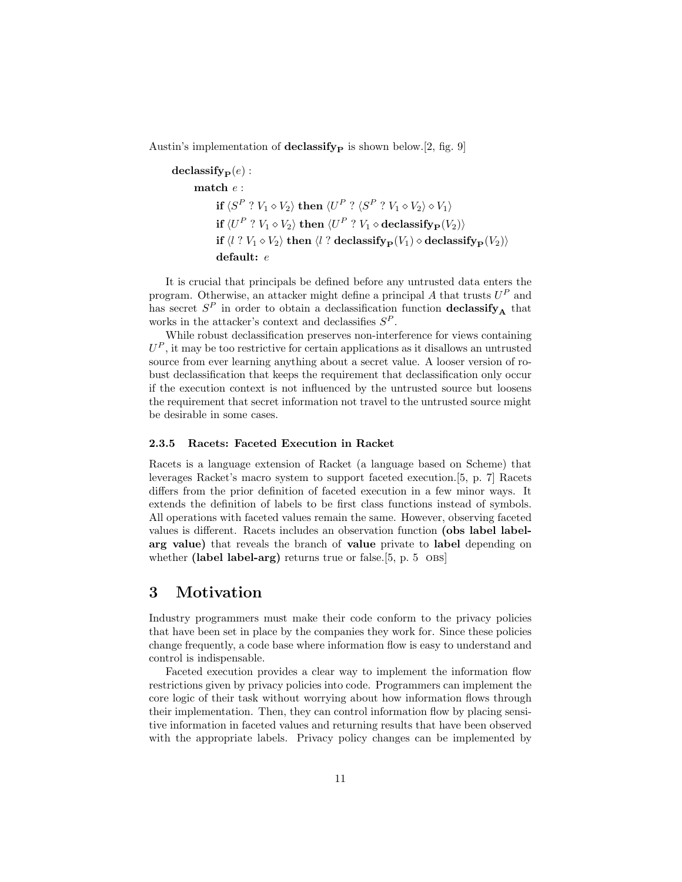Austin's implementation of **declassify**  $\mathbf{p}$  is shown below.[\[2,](#page-13-1) fig. 9]

 $\mathbf{declassify}_{\mathbf{P}}(e)$ : match e :  $\mathbf{if}\ \langle S^P\ ?\ V_1 \diamond V_2 \rangle\ \mathbf{then}\ \langle U^P\ ?\ \langle S^P\ ?\ V_1 \diamond V_2 \rangle \diamond V_1 \rangle$  ${\bf if} \braket{U^P : V_1 \diamond V_2}{\bf then} \braket{U^P : V_1 \diamond {\bf declassify_P}(V_2)}$ if  $\langle l \, ? \, V_1 \diamond V_2 \rangle$  then  $\langle l \, ? \, \text{declassify}_{\mathbf{P}}(V_1) \diamond \text{declassify}_{\mathbf{P}}(V_2) \rangle$ default: e

It is crucial that principals be defined before any untrusted data enters the program. Otherwise, an attacker might define a principal A that trusts  $U^P$  and has secret  $S^P$  in order to obtain a declassification function **declassify**<sub>A</sub> that works in the attacker's context and declassifies  $S^P$ .

While robust declassification preserves non-interference for views containing  $U^P$ , it may be too restrictive for certain applications as it disallows an untrusted source from ever learning anything about a secret value. A looser version of robust declassification that keeps the requirement that declassification only occur if the execution context is not influenced by the untrusted source but loosens the requirement that secret information not travel to the untrusted source might be desirable in some cases.

#### <span id="page-10-0"></span>2.3.5 Racets: Faceted Execution in Racket

Racets is a language extension of Racket (a language based on Scheme) that leverages Racket's macro system to support faceted execution.[\[5,](#page-13-4) p. 7] Racets differs from the prior definition of faceted execution in a few minor ways. It extends the definition of labels to be first class functions instead of symbols. All operations with faceted values remain the same. However, observing faceted values is different. Racets includes an observation function (obs label labelarg value) that reveals the branch of value private to label depending on whether (label label-arg) returns true or false.[\[5,](#page-13-4) p.  $5$  OBS]

# <span id="page-10-1"></span>3 Motivation

Industry programmers must make their code conform to the privacy policies that have been set in place by the companies they work for. Since these policies change frequently, a code base where information flow is easy to understand and control is indispensable.

Faceted execution provides a clear way to implement the information flow restrictions given by privacy policies into code. Programmers can implement the core logic of their task without worrying about how information flows through their implementation. Then, they can control information flow by placing sensitive information in faceted values and returning results that have been observed with the appropriate labels. Privacy policy changes can be implemented by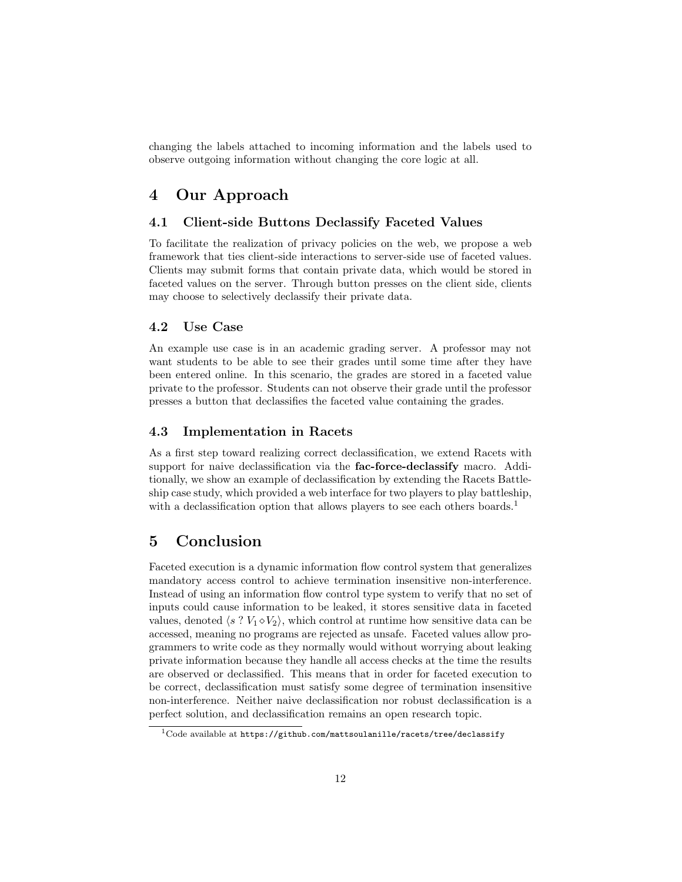changing the labels attached to incoming information and the labels used to observe outgoing information without changing the core logic at all.

# <span id="page-11-0"></span>4 Our Approach

### <span id="page-11-1"></span>4.1 Client-side Buttons Declassify Faceted Values

To facilitate the realization of privacy policies on the web, we propose a web framework that ties client-side interactions to server-side use of faceted values. Clients may submit forms that contain private data, which would be stored in faceted values on the server. Through button presses on the client side, clients may choose to selectively declassify their private data.

### <span id="page-11-2"></span>4.2 Use Case

An example use case is in an academic grading server. A professor may not want students to be able to see their grades until some time after they have been entered online. In this scenario, the grades are stored in a faceted value private to the professor. Students can not observe their grade until the professor presses a button that declassifies the faceted value containing the grades.

### <span id="page-11-3"></span>4.3 Implementation in Racets

As a first step toward realizing correct declassification, we extend Racets with support for naive declassification via the **fac-force-declassify** macro. Additionally, we show an example of declassification by extending the Racets Battleship case study, which provided a web interface for two players to play battleship, with a declassification option that allows players to see each others boards.<sup>[1](#page-11-5)</sup>

# <span id="page-11-4"></span>5 Conclusion

Faceted execution is a dynamic information flow control system that generalizes mandatory access control to achieve termination insensitive non-interference. Instead of using an information flow control type system to verify that no set of inputs could cause information to be leaked, it stores sensitive data in faceted values, denoted  $\langle s ? V_1 \diamond V_2 \rangle$ , which control at runtime how sensitive data can be accessed, meaning no programs are rejected as unsafe. Faceted values allow programmers to write code as they normally would without worrying about leaking private information because they handle all access checks at the time the results are observed or declassified. This means that in order for faceted execution to be correct, declassification must satisfy some degree of termination insensitive non-interference. Neither naive declassification nor robust declassification is a perfect solution, and declassification remains an open research topic.

<span id="page-11-5"></span> $1$ Code available at <https://github.com/mattsoulanille/racets/tree/declassify>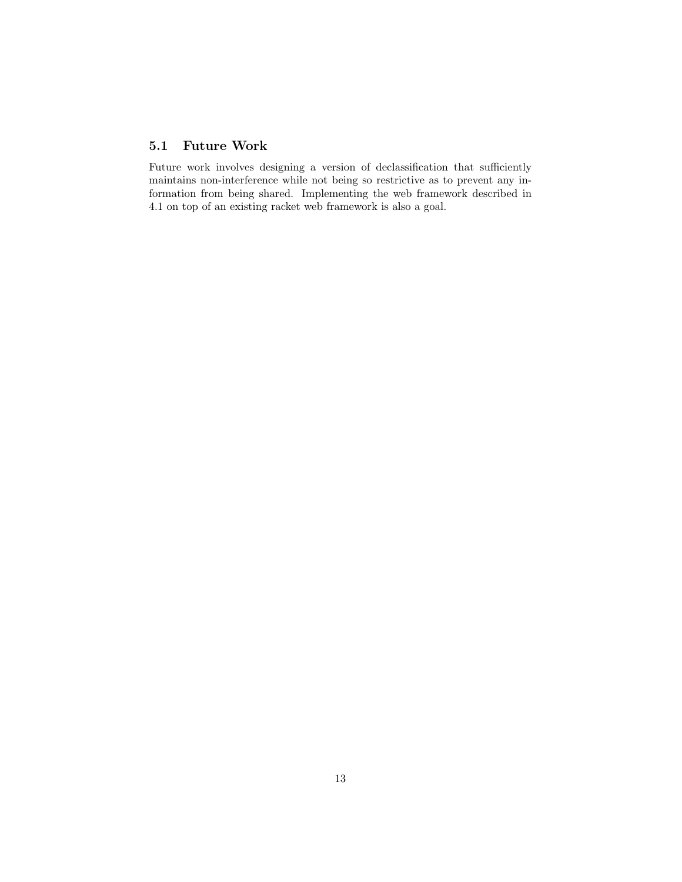# <span id="page-12-0"></span>5.1 Future Work

Future work involves designing a version of declassification that sufficiently maintains non-interference while not being so restrictive as to prevent any information from being shared. Implementing the web framework described in [4.1](#page-11-1) on top of an existing racket web framework is also a goal.